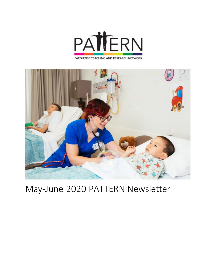



# May-June 2020 PATTERN Newsletter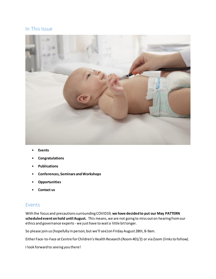## In This Issue



- **Events**
- **Congratulations**
- **Publications**
- **Conferences, Seminars and Workshops**
- **Opportunities**
- **Contact us**

### Events

With the focus and precautions surrounding COVID19, **we have decided to put our May PATTERN scheduled event on hold until August.** This means, we are not going to miss out on hearing from our ethics and governance experts - we just have to wait a little bit longer.

So please join us (hopefully in person, but we'll see) on Friday August 28th, 8-9am.

Either Face-to-Face at Centre for Children's Health Research (Room 401/2) or via Zoom (links to follow).

I look forward to seeing you there!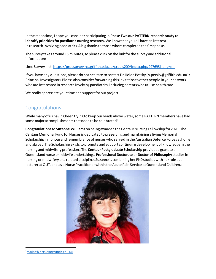In the meantime, I hope you consider participating in **Phase Two our PATTERN research study to identifyprioritiesforpaediatric nursing research.** We know that you all have an interest in research involving paediatrics. A big thanks to those whom completed the first phase.

The survey takes around 15 minutes, so please click on the link for the survey and additional information:

Lime Survey link: https://prodsurvey.rcs.griffith.edu.au/prodls200/index.php/927695?lang=en

If you have any questions, please do not hesitate to contact Dr Helen Petsky (h.petsky@griffith.edu.au<sup>1</sup>; Principal Investigator). Please also consider forwarding this invitation to other people in your network who are interested in research involving paediatrics, including parents who utilise health care.

We really appreciate your time and support for our project!

## Congratulations!

While many of us having been trying to keep our heads above water, some PATTERN members have had some major accomplishments that need to be celebrated!

**Congratulations**to **Suzanne Williams** on being awarded the Centaur Nursing Fellowship for 2020! The Centaur Memorial Fund for Nurses is dedicated to preserving and maintaining a living Memorial Scholarship in honour and remembrance of nurses who served in the Australian Defence Forces at home and abroad.The Scholarship exists to promote and support continuing development of knowledge in the nursing and midwifery professions.The **Centaur Postgraduate Scholarship** provides a grant to a Queensland nurse or midwife undertaking a **Professional Doctorate** or **Doctor of Philosophy** studies in nursing or midwifery or a related discipline. Suzanne is combining her PhD studies with her role as a lecturer at QUT, and as a Nurse Practitioner within the Acute Pain Service at Queensland Children.s



<sup>1</sup>mailto:h.petsky@griffith.edu.au

 $\ddot{\phantom{a}}$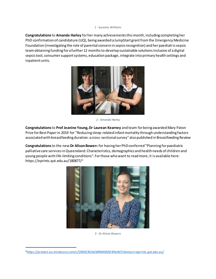#### *1 - Suzanne Williams*

**Congratulations**to **Amanda Harley** for her many achievements this month, including completing her PhD confirmation of candidature (UQ), being awarded a JumpStart grant from the Emergency Medicine Foundation (investigating the role of parental concern in sepsis recognition) and her paediatric sepsis team obtaining funding for a further 12 months to develop sustainable solutions inclusive of a digital sepsis tool, consumer support systems, education package, integrate into primary health settings and inpatient units.



*2 - Amanda Harley*

**Congratulations**to **Prof Jeanine Young, Dr Laurean Kearney** and team for being awarded Mary Paton Prize for Best Paper in 2019 for "Reducing sleep-related infant mortality through understanding factors associated with breastfeeding duration: a cross-sectional survey" also published in Breastfeeding Review

**Congratulations**to the new **Dr Alison Bower**s for having her PhD conferred "Planning for paediatric palliative care services in Queensland: Characteristics, demographics and health needs of children and young people with life-limiting conditions". For those who want to read more, it is available here: https://eprints.qut.edu.au/180877/<sup>2</sup>



*3 - Dr Alison Bowers*

 $\ddot{\phantom{a}}$ 

<sup>2</sup>https://protect-au.mimecast.com/s/O8fdCROA2MfM4MZ0i9RoWS?domain=eprints.qut.edu.au/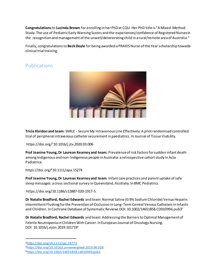**Congratulations**to **Lucinda Brown** for enrolling in her PhD at CQU. Her PhD title is "A Mixed-Method Study. The use of Pediatric Early Warning Scores and the experiences/confidence of Registered Nurses in the recognition and management of the unwell/deteriorating child in a rural/remote area of Australia."

Finally, congratulations to **Beck Doyle** for being awarded a PRAXIS Nurse of the Year scholarship towards clinical trial training.

## Publications



**Tricia Kleidon and team:** SMILE - Secure My Intravenous Line Effectively: A pilot randomised controlled trial of peripheral intravenous catheter securement in paediatrics. In Journal of Tissue Viability.

https://doi.org/<sup>3</sup>10.1016/j.jtv.2020.03.006

**Prof Jeanine Young, Dr Laurean Kearney and team:** Prevalence of risk factors for sudden infant death among Indigenous and non-Indigenous people in Australia: a retrospective cohort study In Acta Padiatrica.

https://doi.org/<sup>4</sup>10.1111/apa.15274

**Prof Jeanine Young, Dr Laurean Kearney and team:** Infant care practices and parent uptake of safe sleep messages: a cross sectional survey in Queensland, Australia. In BMC Pediatrics

https://doi.org/10.1186/s12887-020-1917-5.

**Dr Natalie Bradford, Rachel Edwards** and team: Normal Saline (0.9% Sodium Chloride) Versus Heparin Intermittent Flushing for the Prevention of Occlusion in Long-Term Central Venous Catheters in Infants and Children. In Cochrane Database of Systematic Reviews DOI: 10.1002/14651858.CD010996.pub3<sup>5</sup>

**Dr Natalie Bradford, Rachel Edwards** and team: Addressing the Barriers to Optimal Management of Febrile Neutropenia in Children With Cancer. In European Journal of Oncology Nursing. DOI: 10.1016/j.ejon.2019.101719<sup>6</sup>

l

<sup>3</sup>https://doi.org/10.1111/jpc.14773

<sup>4</sup>https://doi.org/10.1016/j.annemergmed.2019.06.028

<sup>5</sup>https://doi.org/10.1002/14651858.cd010996.pub3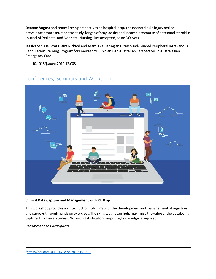**Deanne August** and team: Fresh perspectives on hospital-acquired neonatal skin injury period prevalence from a multicentre study: length of stay, acuity and incomplete course of antenatal steroid in Journal of Perinatal and Neonatal Nursing (just accepted, so no DOI yet)

**Jessica Schults, Prof Claire Rickard** and team: Evaluating an Ultrasound-Guided Peripheral Intravenous Cannulation Training Program for Emergency Clinicians: An Australian Perspective. In Australasian Emergency Care

doi: 10.1016/j.auec.2019.12.008



## Conferences, Seminars and Workshops

#### **Clinical Data Capture and Management with REDCap**

This workshop provides an introduction to REDCap for the development and management of registries and surveys through hands on exercises. The skills taught can help maximise the value of the data being captured in clinical studies. No prior statistical or computing knowledge is required.

*Recommended Participants*

 $\ddot{\phantom{a}}$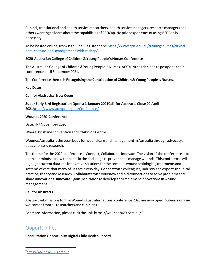Clinical, translational and health service researchers, health service managers, research managers and others wanting to learn about the capabilities of REDCap. No prior experience of using REDCap is necessary.

To be hosted online, from 19th June. Register here: https://www.qcif.edu.au/trainingcourses/clinicaldata-capture-and-management-with-redcap/

#### **2020 Australian College of Children & Young People's Nurses Conference**

The Australian College of Children & Young People's Nurses (ACCYPN) has decided to postpone their conference until September 2021.

The Conference theme is **Recognising the Contribution of Children & Young People's Nurses**.

**Key Dates**

**Call for Abstracts: Now Open**

**Super Early Bird Registration Opens: 1 January 2021Call for Abstracts Close 20 April 2021**https://www.accypn.org.au/Conference/

#### **Wounds 2020 Conference**

Date: 4-7 November 2020

Where: Brisbane convention and Exhibition Centre

Wounds Australia is the peak body for wound care and management in Australia through advocacy, education and research.

The theme for the 2020 conference is Connect, Collaborate, Innovate. The vision of the conference is to open our minds to new concepts in the challenge to prevent and manage wounds. This conference will highlight current data and innovative solutions for the complex wound aetiologies, treatments and systems of care that many of us face every day. **Connect**with colleagues, industry and experts in clinical practice, theory and research. **Collaborate** with your new and old connections to solve problems and share innovations. **Innovate** –gain inspiration to develop and implement innovations in wound management.

#### **Call for Abstracts**

Abstract submissions for the Wounds Australia national conference 2020 are now open. Submissions are welcomed from all researchers and clinicians.

For more information, please click the link: https://wounds2020.com.au/7

## **Opportunities**

 $\ddot{\phantom{a}}$ 

**Consultation Opportunity Digital Child Health Record**

<sup>7</sup>https://wounds2020.com.au/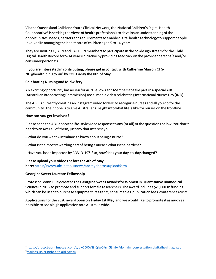Via the Queensland Child and Youth Clinical Network, the National Children's Digital Health Collaborative<sup>8</sup> is seeking the views of health professionals to develop an understanding of the opportunities, needs, barriers and requirements to enable digital health technology to support people involved in managing the healthcare of children aged 5 to 14 years.

They are inviting QCYCN and PATTERN members to participate in the co-design stream for the Child Digital Health Record for 5-14 years initiative by providing feedback on the provider persona's and/or consumer persona's.

#### **If you are interested in contributing, please get in contact with Catherine Marron** CHS-ND@health.qld.gov.au<sup>9</sup> **by COB Friday the 8th of May**.

#### **Celebrating Nursing and Midwifery**

An exciting opportunity has arisen for ACN Fellows and Members to take part in a special ABC (Australian Broadcasting Commission) social media video celebrating International Nurses Day (IND).

The ABC is currently creating an Instagram video for IND to recognise nurses and all you do for the community. Their hope is to give Australians insight into what life is like for nurses on the frontline.

#### **How can you get involved?**

Please send the ABC a short selfie-style video response to any (or all) of the questions below. You don't need to answer all of them, just any that interest you.

- What do you want Australians to know about being a nurse?
- What is the most rewarding part of being a nurse? What is the hardest?
- Have you been impacted by COVID-19? If so, how? Has your day-to-day changed?

### **Please upload your videos before the 4th of May**

**here:**https://www.abc.net.au/news/abcmyphoto/#uploadform

### **Georgina Sweet Laureate Fellowship**

 $\ddot{\phantom{a}}$ 

Professor Leann Tilley created the **Georgina Sweet Awards for Women in Quantitative Biomedical Science** in 2016 to promote and support female researchers. The award includes **\$25,000** in funding which can be used to purchase equipment, reagents, consumables, publication fees, conferences costs.

Applications for the 2020 award open on **Friday 1st May** and we would like to promote it as much as possible to see a high application rate Australia wide.

<sup>8</sup>https://protect-au.mimecast.com/s/uw2OCANZjQiwOJYrIGSmiw?domain=conversation.digitalhealth.gov.au 9mailto:CHS-ND@health.qld.gov.au